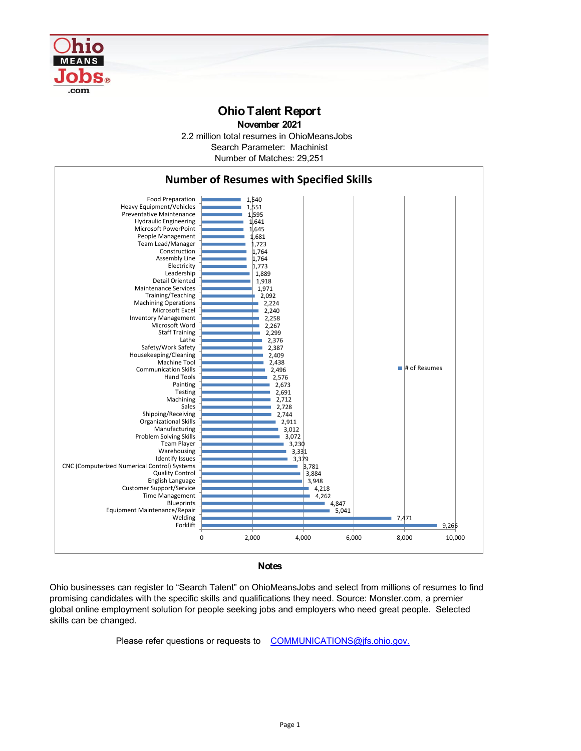

## **Ohio Talent Report**

**November 2021**

2.2 million total resumes in OhioMeansJobs Number of Matches: 29,251 Search Parameter: Machinist



**Notes**

Ohio businesses can register to "Search Talent" on OhioMeansJobs and select from millions of resumes to find promising candidates with the specific skills and qualifications they need. Source: Monster.com, a premier global online employment solution for people seeking jobs and employers who need great people. Selected skills can be changed.

Please refer questions or requests to [COMMUNICATIONS@jfs.ohio.gov.](mailto:COMMUNICATIONS@jfs.ohio.gov.)